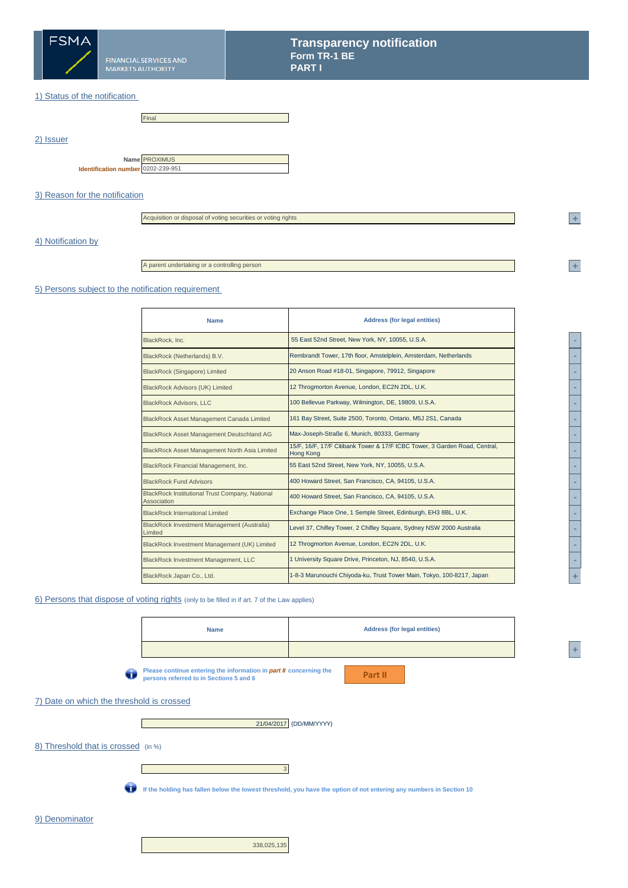

2) Issuer

## 1) Status of the notification

|                                    | Final                |
|------------------------------------|----------------------|
|                                    |                      |
|                                    |                      |
|                                    | Name <b>PROXIMUS</b> |
| Identification number 0202-239-951 |                      |

## 3) Reason for the notification

Acquisition or disposal of voting securities or voting rights

## 4) Notification by

A parent undertaking or a controlling person

#### 5) Persons subject to the notification requirement

| <b>Name</b>                                                           | <b>Address (for legal entities)</b>                                                            |  |  |
|-----------------------------------------------------------------------|------------------------------------------------------------------------------------------------|--|--|
| BlackRock, Inc.                                                       | 55 East 52nd Street, New York, NY, 10055, U.S.A.                                               |  |  |
| BlackRock (Netherlands) B.V.                                          | Rembrandt Tower, 17th floor, Amstelplein, Amsterdam, Netherlands                               |  |  |
| <b>BlackRock (Singapore) Limited</b>                                  | 20 Anson Road #18-01, Singapore, 79912, Singapore                                              |  |  |
| <b>BlackRock Advisors (UK) Limited</b>                                | 12 Throgmorton Avenue, London, EC2N 2DL, U.K.                                                  |  |  |
| <b>BlackRock Advisors, LLC</b>                                        | 100 Bellevue Parkway, Wilmington, DE, 19809, U.S.A.                                            |  |  |
| BlackRock Asset Management Canada Limited                             | 161 Bay Street, Suite 2500, Toronto, Ontario, M5J 2S1, Canada                                  |  |  |
| <b>BlackRock Asset Management Deutschland AG</b>                      | Max-Joseph-Straße 6, Munich, 80333, Germany                                                    |  |  |
| BlackRock Asset Management North Asia Limited                         | 15/F, 16/F, 17/F Citibank Tower & 17/F ICBC Tower, 3 Garden Road, Central,<br><b>Hong Kong</b> |  |  |
| BlackRock Financial Management, Inc.                                  | 55 East 52nd Street, New York, NY, 10055, U.S.A.                                               |  |  |
| <b>BlackRock Fund Advisors</b>                                        | 400 Howard Street, San Francisco, CA, 94105, U.S.A.                                            |  |  |
| <b>BlackRock Institutional Trust Company, National</b><br>Association | 400 Howard Street, San Francisco, CA, 94105, U.S.A.                                            |  |  |
| <b>BlackRock International Limited</b>                                | Exchange Place One, 1 Semple Street, Edinburgh, EH3 8BL, U.K.                                  |  |  |
| <b>BlackRock Investment Management (Australia)</b><br>Limited         | Level 37, Chifley Tower, 2 Chifley Square, Sydney NSW 2000 Australia                           |  |  |
| BlackRock Investment Management (UK) Limited                          | 12 Throgmorton Avenue, London, EC2N 2DL, U.K.                                                  |  |  |
| BlackRock Investment Management, LLC                                  | 1 University Square Drive, Princeton, NJ, 8540, U.S.A.                                         |  |  |
| BlackRock Japan Co., Ltd.                                             | 1-8-3 Marunouchi Chiyoda-ku, Trust Tower Main, Tokyo, 100-8217, Japan                          |  |  |

## 6) Persons that dispose of voting rights (only to be filled in if art. 7 of the Law applies)



**<sup>A</sup> +** 

**<sup>2</sup> +** 

**<sup>2</sup> +**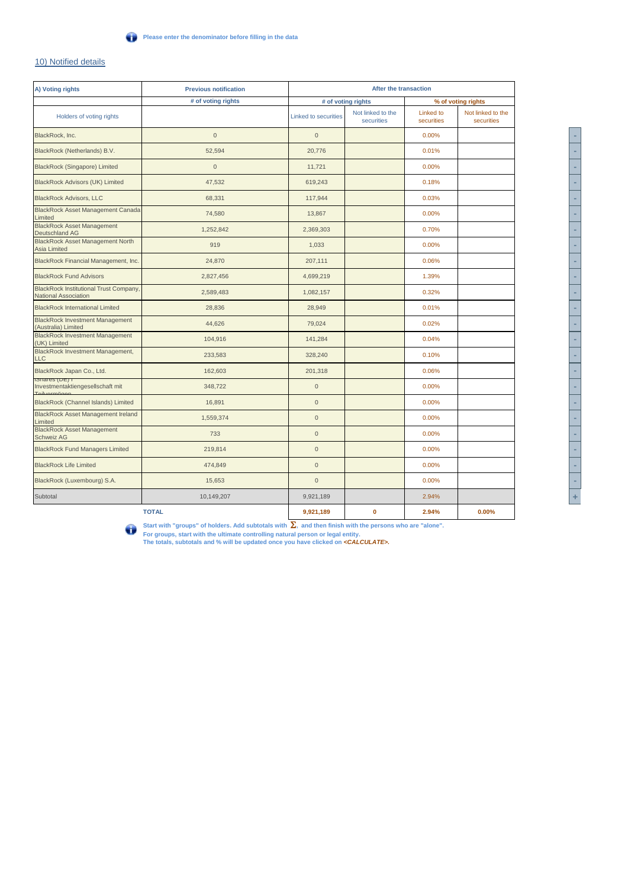## 10) Notified details

| A) Voting rights                                                      | <b>Previous notification</b> | After the transaction       |                                 |                         |                                 |
|-----------------------------------------------------------------------|------------------------------|-----------------------------|---------------------------------|-------------------------|---------------------------------|
|                                                                       | # of voting rights           | # of voting rights          |                                 | % of voting rights      |                                 |
| Holders of voting rights                                              |                              | <b>Linked to securities</b> | Not linked to the<br>securities | Linked to<br>securities | Not linked to the<br>securities |
| BlackRock, Inc.                                                       | $\mathbf{0}$                 | $\mathbf{0}$                |                                 | 0.00%                   |                                 |
| BlackRock (Netherlands) B.V.                                          | 52,594                       | 20.776                      |                                 | 0.01%                   |                                 |
| <b>BlackRock (Singapore) Limited</b>                                  | $\mathbf 0$                  | 11,721                      |                                 | 0.00%                   |                                 |
| <b>BlackRock Advisors (UK) Limited</b>                                | 47,532                       | 619,243                     |                                 | 0.18%                   |                                 |
| <b>BlackRock Advisors, LLC</b>                                        | 68,331                       | 117,944                     |                                 | 0.03%                   |                                 |
| <b>BlackRock Asset Management Canada</b><br>Limited                   | 74,580                       | 13,867                      |                                 | 0.00%                   |                                 |
| <b>BlackRock Asset Management</b><br>Deutschland AG                   | 1.252.842                    | 2.369.303                   |                                 | 0.70%                   |                                 |
| <b>BlackRock Asset Management North</b><br><b>Asia Limited</b>        | 919                          | 1,033                       |                                 | 0.00%                   |                                 |
| BlackRock Financial Management, Inc.                                  | 24,870                       | 207,111                     |                                 | 0.06%                   |                                 |
| <b>BlackRock Fund Advisors</b>                                        | 2,827,456                    | 4,699,219                   |                                 | 1.39%                   |                                 |
| <b>BlackRock Institutional Trust Company,</b><br>National Association | 2,589,483                    | 1,082,157                   |                                 | 0.32%                   |                                 |
| <b>BlackRock International Limited</b>                                | 28,836                       | 28,949                      |                                 | 0.01%                   |                                 |
| <b>BlackRock Investment Management</b><br>(Australia) Limited         | 44,626                       | 79,024                      |                                 | 0.02%                   |                                 |
| <b>BlackRock Investment Management</b><br>(UK) Limited                | 104,916                      | 141,284                     |                                 | 0.04%                   |                                 |
| BlackRock Investment Management,<br>LLC                               | 233,583                      | 328,240                     |                                 | 0.10%                   |                                 |
| BlackRock Japan Co., Ltd.                                             | 162,603                      | 201,318                     |                                 | 0.06%                   |                                 |
| <b>IDITATES (DE)</b><br>Investmentaktiengesellschaft mit              | 348,722                      | $\mathsf{O}\xspace$         |                                 | 0.00%                   |                                 |
| BlackRock (Channel Islands) Limited                                   | 16,891                       | $\overline{0}$              |                                 | 0.00%                   |                                 |
| <b>BlackRock Asset Management Ireland</b><br>Limited                  | 1,559,374                    | $\mathbf{0}$                |                                 | 0.00%                   |                                 |
| <b>BlackRock Asset Management</b><br><b>Schweiz AG</b>                | 733                          | $\mathbf{0}$                |                                 | 0.00%                   |                                 |
| <b>BlackRock Fund Managers Limited</b>                                | 219,814                      | $\mathbf{0}$                |                                 | 0.00%                   |                                 |
| <b>BlackRock Life Limited</b>                                         | 474,849                      | $\mathsf{O}\xspace$         |                                 | 0.00%                   |                                 |
| BlackRock (Luxembourg) S.A.                                           | 15,653                       | $\mathbf{0}$                |                                 | 0.00%                   |                                 |
| Subtotal                                                              | 10,149,207                   | 9,921,189                   |                                 | 2.94%                   |                                 |
|                                                                       | <b>TOTAL</b>                 | 9,921,189                   | 0                               | 2.94%                   | 0.00%                           |

Start with "groups" of holders. Add subtotals with **Σ**, and then finish with the persons who are "alone".<br>For groups, start with the ultimate controlling natural person or legal entity.<br>The totals, subtotals and % will be